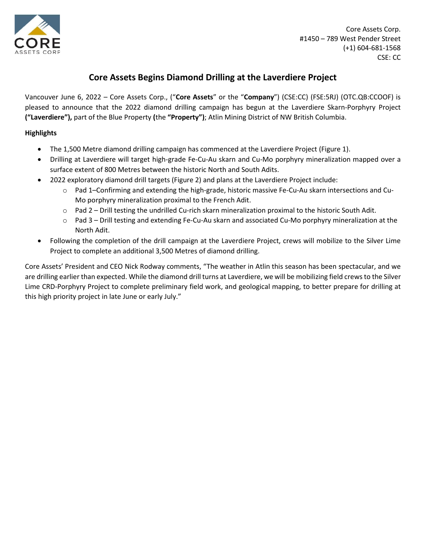

# **Core Assets Begins Diamond Drilling at the Laverdiere Project**

Vancouver June 6, 2022 – Core Assets Corp., ("**Core Assets**" or the "**Company**") (CSE:CC) (FSE:5RJ) (OTC.QB:CCOOF) is pleased to announce that the 2022 diamond drilling campaign has begun at the Laverdiere Skarn-Porphyry Project **("Laverdiere"),** part of the Blue Property **(**the **"Property")**; Atlin Mining District of NW British Columbia.

# **Highlights**

- The 1,500 Metre diamond drilling campaign has commenced at the Laverdiere Project (Figure 1).
- Drilling at Laverdiere will target high-grade Fe-Cu-Au skarn and Cu-Mo porphyry mineralization mapped over a surface extent of 800 Metres between the historic North and South Adits.
- 2022 exploratory diamond drill targets (Figure 2) and plans at the Laverdiere Project include:
	- o Pad 1–Confirming and extending the high-grade, historic massive Fe-Cu-Au skarn intersections and Cu-Mo porphyry mineralization proximal to the French Adit.
	- o Pad 2 Drill testing the undrilled Cu-rich skarn mineralization proximal to the historic South Adit.
	- o Pad 3 Drill testing and extending Fe-Cu-Au skarn and associated Cu-Mo porphyry mineralization at the North Adit.
- Following the completion of the drill campaign at the Laverdiere Project, crews will mobilize to the Silver Lime Project to complete an additional 3,500 Metres of diamond drilling.

Core Assets' President and CEO Nick Rodway comments, "The weather in Atlin this season has been spectacular, and we are drilling earlier than expected. While the diamond drill turns at Laverdiere, we will be mobilizing field crews to the Silver Lime CRD-Porphyry Project to complete preliminary field work, and geological mapping, to better prepare for drilling at this high priority project in late June or early July."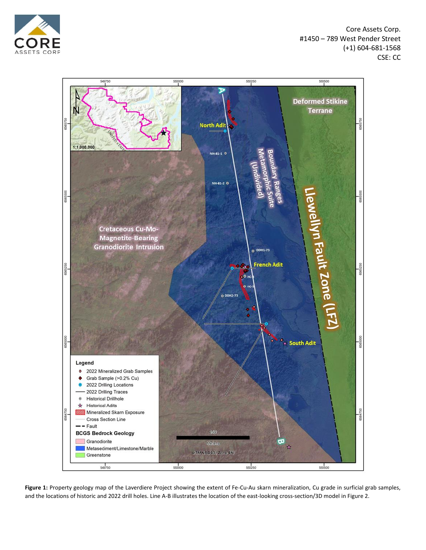



**Figure 1:** Property geology map of the Laverdiere Project showing the extent of Fe-Cu-Au skarn mineralization, Cu grade in surficial grab samples, and the locations of historic and 2022 drill holes. Line A-B illustrates the location of the east-looking cross-section/3D model in Figure 2.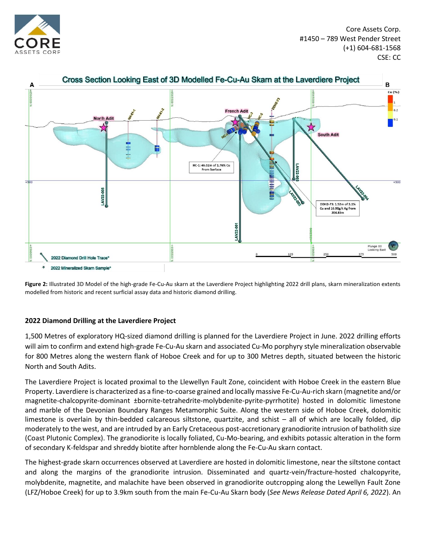



**Figure 2:** Illustrated 3D Model of the high-grade Fe-Cu-Au skarn at the Laverdiere Project highlighting 2022 drill plans, skarn mineralization extents modelled from historic and recent surficial assay data and historic diamond drilling.

## **2022 Diamond Drilling at the Laverdiere Project**

1,500 Metres of exploratory HQ-sized diamond drilling is planned for the Laverdiere Project in June. 2022 drilling efforts will aim to confirm and extend high-grade Fe-Cu-Au skarn and associated Cu-Mo porphyry style mineralization observable for 800 Metres along the western flank of Hoboe Creek and for up to 300 Metres depth, situated between the historic North and South Adits.

The Laverdiere Project is located proximal to the Llewellyn Fault Zone, coincident with Hoboe Creek in the eastern Blue Property. Laverdiere is characterized as a fine-to-coarse grained and locally massive Fe-Cu-Au-rich skarn (magnetite and/or magnetite-chalcopyrite-dominant ±bornite-tetrahedrite-molybdenite-pyrite-pyrrhotite) hosted in dolomitic limestone and marble of the Devonian Boundary Ranges Metamorphic Suite. Along the western side of Hoboe Creek, dolomitic limestone is overlain by thin-bedded calcareous siltstone, quartzite, and schist – all of which are locally folded, dip moderately to the west, and are intruded by an Early Cretaceous post-accretionary granodiorite intrusion of batholith size (Coast Plutonic Complex). The granodiorite is locally foliated, Cu-Mo-bearing, and exhibits potassic alteration in the form of secondary K-feldspar and shreddy biotite after hornblende along the Fe-Cu-Au skarn contact.

The highest-grade skarn occurrences observed at Laverdiere are hosted in dolomitic limestone, near the siltstone contact and along the margins of the granodiorite intrusion. Disseminated and quartz-vein/fracture-hosted chalcopyrite, molybdenite, magnetite, and malachite have been observed in granodiorite outcropping along the Lewellyn Fault Zone (LFZ/Hoboe Creek) for up to 3.9km south from the main Fe-Cu-Au Skarn body (*See News Release Dated April 6, 2022*). An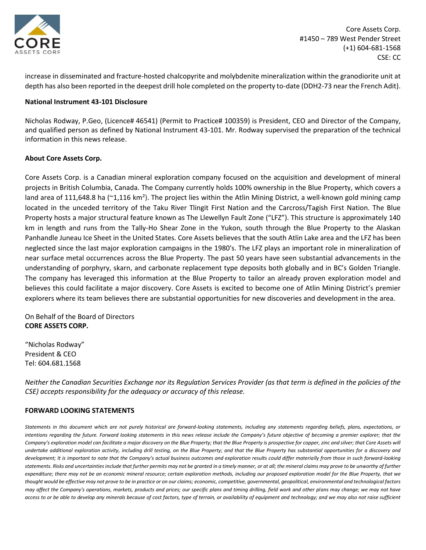

increase in disseminated and fracture-hosted chalcopyrite and molybdenite mineralization within the granodiorite unit at depth has also been reported in the deepest drill hole completed on the property to-date (DDH2-73 near the French Adit).

#### **National Instrument 43-101 Disclosure**

Nicholas Rodway, P.Geo, (Licence# 46541) (Permit to Practice# 100359) is President, CEO and Director of the Company, and qualified person as defined by National Instrument 43-101. Mr. Rodway supervised the preparation of the technical information in this news release.

#### **About Core Assets Corp.**

Core Assets Corp. is a Canadian mineral exploration company focused on the acquisition and development of mineral projects in British Columbia, Canada. The Company currently holds 100% ownership in the Blue Property, which covers a land area of 111,648.8 ha (~1,116 km<sup>2</sup>). The project lies within the Atlin Mining District, a well-known gold mining camp located in the unceded territory of the Taku River Tlingit First Nation and the Carcross/Tagish First Nation. The Blue Property hosts a major structural feature known as The Llewellyn Fault Zone ("LFZ"). This structure is approximately 140 km in length and runs from the Tally-Ho Shear Zone in the Yukon, south through the Blue Property to the Alaskan Panhandle Juneau Ice Sheet in the United States. Core Assets believes that the south Atlin Lake area and the LFZ has been neglected since the last major exploration campaigns in the 1980's. The LFZ plays an important role in mineralization of near surface metal occurrences across the Blue Property. The past 50 years have seen substantial advancements in the understanding of porphyry, skarn, and carbonate replacement type deposits both globally and in BC's Golden Triangle. The company has leveraged this information at the Blue Property to tailor an already proven exploration model and believes this could facilitate a major discovery. Core Assets is excited to become one of Atlin Mining District's premier explorers where its team believes there are substantial opportunities for new discoveries and development in the area.

On Behalf of the Board of Directors **CORE ASSETS CORP.**

"Nicholas Rodway" President & CEO Tel: 604.681.1568

*Neither the Canadian Securities Exchange nor its Regulation Services Provider (as that term is defined in the policies of the CSE) accepts responsibility for the adequacy or accuracy of this release.*

## **FORWARD LOOKING STATEMENTS**

*Statements in this document which are not purely historical are forward-looking statements, including any statements regarding beliefs, plans, expectations, or intentions regarding the future. Forward looking statements in this news release include the Company's future objective of becoming a premier explorer; that the*  Company's exploration model can facilitate a major discovery on the Blue Property; that the Blue Property is prospective for copper, zinc and silver; that Core Assets will *undertake additional exploration activity, including drill testing, on the Blue Property; and that the Blue Property has substantial opportunities for a discovery and development; It is important to note that the Company's actual business outcomes and exploration results could differ materially from those in such forward-looking*  statements. Risks and uncertainties include that further permits may not be granted in a timely manner, or at all; the mineral claims may prove to be unworthy of further *expenditure; there may not be an economic mineral resource; certain exploration methods, including our proposed exploration model for the Blue Property, that we thought would be effective may not prove to be in practice or on our claims; economic, competitive, governmental, geopolitical, environmental and technological factors may affect the Company's operations, markets, products and prices; our specific plans and timing drilling, field work and other plans may change; we may not have*  access to or be able to develop any minerals because of cost factors, type of terrain, or availability of equipment and technology; and we may also not raise sufficient